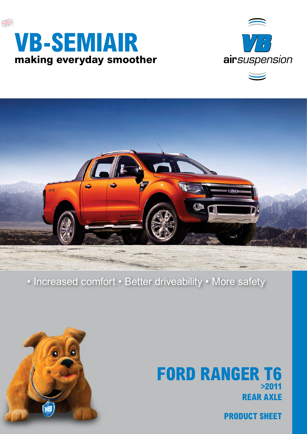





### • Increased comfort • Better driveability • More safety



## **rear axle FORD RANGER T6 >2011**

**product sheet**